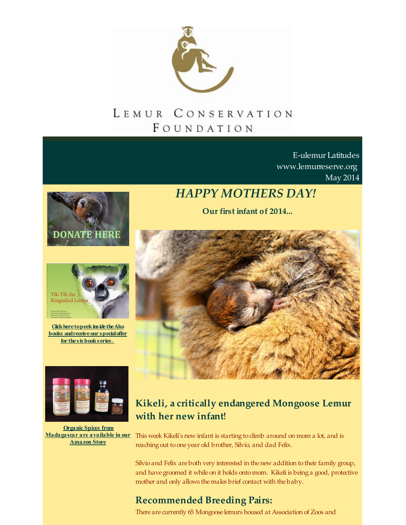

# FOUNDATION

E-ulemur Latitudes [www.lemurreserve.org](http://www.lemurreserve.org) May 2014





**Click here to peek inside the Ako books andreceiveour specialoffer for thesixbookseries.**

# *HAPPY MOTHERS DAY!*

**Our first infant of 2014...**





**Organic Spices from [Madagascar](http://r20.rs6.net/tn.jsp?f=001k_PCQ-4YUcc-slYETrpJbqrv190ZYvNePMJZEhgyI71A0Ysa6EPQF1sdMmyis1sX7bbFGL6S6hOhc1vYGFd5wV3VazHKvljF3-UwWN5CYQQ1Ee_5yfMOjykd-ntmqNLs0MOM2iQM3E28zJd3TIrQBIn39YGMeX_QpN9LeT7o_AYsCBrkQtWfQ3Sg0tf34OKy&c=&ch=) are available in our Amazon Store**

## **Kikeli, a critically endangered Mongoose Lemur with her new infant**!

This week Kikeli's new infant is starting to climb around on mom a lot, and is reaching out to one year old brother, Silvio, and dad Felix.

Silvio and Felix are both very interested in thenew addition to their family group, and have groomed it while on it holds onto mom. Kikeli is being a good, protective mother and only allows themales brief contact with the baby.

### **Recommended Breeding Pairs:**

There are currently 65 Mongoose lemurs housed at Association of Zoos and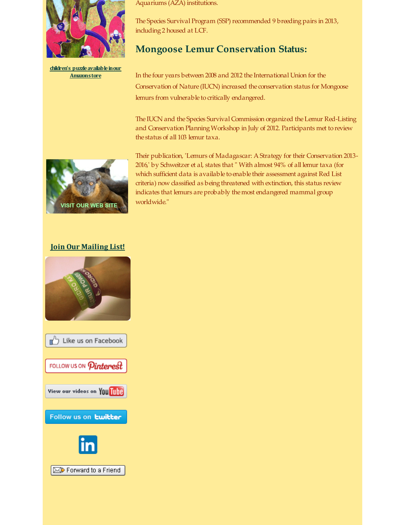

**children's [puzzleavailableinour](http://r20.rs6.net/tn.jsp?f=001k_PCQ-4YUcc-slYETrpJbqrv190ZYvNePMJZEhgyI71A0Ysa6EPQF1sdMmyis1sX7bbFGL6S6hOhc1vYGFd5wV3VazHKvljF3-UwWN5CYQQ1Ee_5yfMOjykd-ntmqNLs0MOM2iQM3E28zJd3TIrQBIn39YGMeX_QpN9LeT7o_AYsCBrkQtWfQ3Sg0tf34OKy&c=&ch=) Amazonstore**

Aquariums (AZA) institutions.

The Species Survival Program (SSP) recommended 9 breeding pairs in 2013, including 2 housed at LCF.

#### **Mongoose Lemur Conservation Status:**

In the four years between 2008 and 2012 the International Union for the Conservation of Nature (IUCN) increased the conservation status for Mongoose lemurs from vulnerable to critically endangered.

The IUCN and the Species Survival Commission organized theLemur Red-Listing and Conservation PlanningWorkshop in July of 2012. Participants met to review the status of all 103 lemur taxa.



Their publication, 'Lemurs of Madagascar: AStrategy for their Conservation 2013- 2016,' by Schweitzer et al, states that " With almost 94% of all lemur taxa (for which sufficient data is available to enable their assessment against Red List criteria) now classified as being threatened with extinction, this status review indicates that lemurs are probably the most endangered mammal group worldwide."

#### **Join Our [Mailing](http://visitor.r20.constantcontact.com/email.jsp?m=1110407556333) List!**